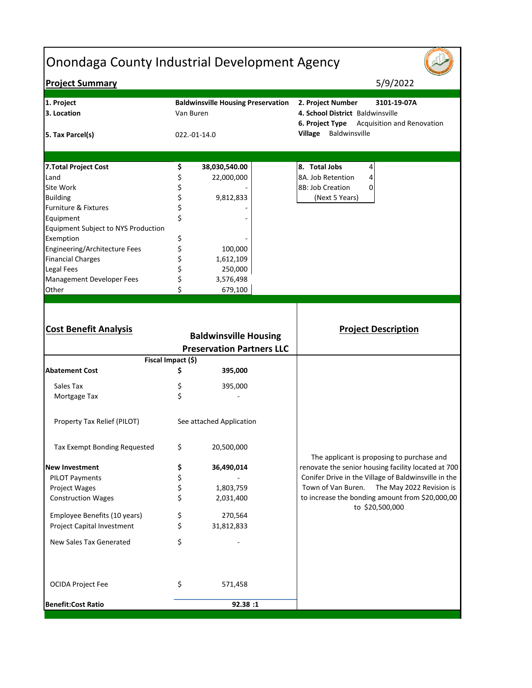| <b>Onondaga County Industrial Development Agency</b> |           |                                                                  |                                                      |
|------------------------------------------------------|-----------|------------------------------------------------------------------|------------------------------------------------------|
| <b>Project Summary</b>                               |           |                                                                  | 5/9/2022                                             |
| 1. Project                                           |           | <b>Baldwinsville Housing Preservation</b>                        | 2. Project Number<br>3101-19-07A                     |
| 3. Location                                          | Van Buren |                                                                  | 4. School District Baldwinsville                     |
|                                                      |           |                                                                  | <b>6. Project Type</b> Acquisition and Renovation    |
| 5. Tax Parcel(s)                                     |           | 022.-01-14.0                                                     | Village Baldwinsville                                |
|                                                      |           |                                                                  | 8. Total Jobs                                        |
| 7. Total Project Cost                                | \$        | 38,030,540.00                                                    | 4<br>8A. Job Retention                               |
| Land                                                 | \$        | 22,000,000                                                       | 4                                                    |
| Site Work                                            | \$        |                                                                  | 8B: Job Creation<br>0                                |
| <b>Building</b>                                      | \$        | 9,812,833                                                        | (Next 5 Years)                                       |
| Furniture & Fixtures                                 | \$        |                                                                  |                                                      |
| Equipment                                            | \$        |                                                                  |                                                      |
| Equipment Subject to NYS Production                  |           |                                                                  |                                                      |
| Exemption                                            | \$        |                                                                  |                                                      |
| Engineering/Architecture Fees                        | \$        | 100,000                                                          |                                                      |
| <b>Financial Charges</b>                             | \$        | 1,612,109                                                        |                                                      |
| <b>Legal Fees</b>                                    |           | 250,000                                                          |                                                      |
| Management Developer Fees                            |           | 3,576,498                                                        |                                                      |
| Other                                                |           | 679,100                                                          |                                                      |
| <b>Cost Benefit Analysis</b>                         |           | <b>Baldwinsville Housing</b><br><b>Preservation Partners LLC</b> | <b>Project Description</b>                           |
| Fiscal Impact (\$)                                   |           |                                                                  |                                                      |
| <b>Abatement Cost</b>                                | \$        | 395,000                                                          |                                                      |
| Sales Tax                                            | Ş         | 395,000                                                          |                                                      |
| Mortgage Tax                                         | \$        |                                                                  |                                                      |
| Property Tax Relief (PILOT)                          |           | See attached Application                                         |                                                      |
| Tax Exempt Bonding Requested                         | \$        | 20,500,000                                                       | The applicant is proposing to purchase and           |
| <b>New Investment</b>                                | \$        | 36,490,014                                                       | renovate the senior housing facility located at 700  |
| <b>PILOT Payments</b>                                | \$        |                                                                  | Conifer Drive in the Village of Baldwinsville in the |
| Project Wages                                        | \$        | 1,803,759                                                        | Town of Van Buren.<br>The May 2022 Revision is       |
| <b>Construction Wages</b>                            | \$        | 2,031,400                                                        | to increase the bonding amount from \$20,000,00      |
|                                                      |           |                                                                  | to \$20,500,000                                      |
| Employee Benefits (10 years)                         | \$        | 270,564                                                          |                                                      |
| Project Capital Investment                           | \$        | 31,812,833                                                       |                                                      |
| New Sales Tax Generated                              | \$        |                                                                  |                                                      |
| <b>OCIDA Project Fee</b>                             | \$        | 571,458                                                          |                                                      |
| <b>Benefit:Cost Ratio</b>                            |           | 92.38 :1                                                         |                                                      |